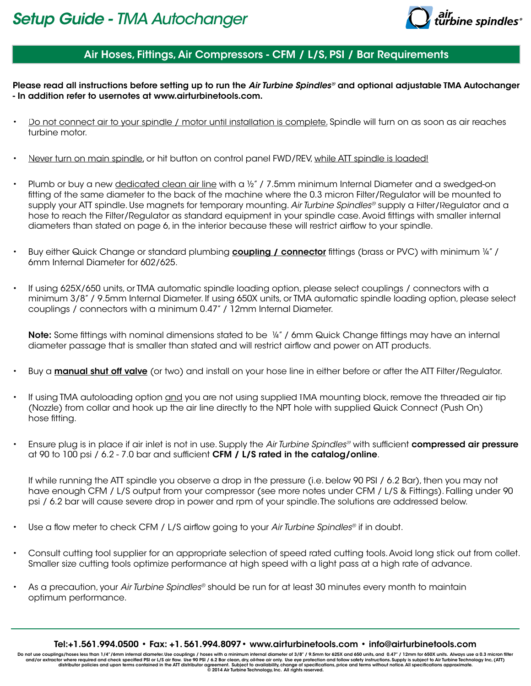

## Air Hoses, Fittings, Air Compressors - CFM / L/S, PSI / Bar Requirements

Please read all instructions before setting up to run the *Air Turbine Spindles®* and optional adjustable TMA Autochanger - In addition refer to usernotes at www.airturbinetools.com.

- Do not connect air to your spindle / motor until installation is complete. Spindle will turn on as soon as air reaches turbine motor.
- Never turn on main spindle, or hit button on control panel FWD/REV, while ATT spindle is loaded!
- Plumb or buy a new dedicated clean air line with a 1/2" / 7.5mm minimum Internal Diameter and a swedged-on fitting of the same diameter to the back of the machine where the 0.3 micron Filter/Regulator will be mounted to supply your ATT spindle. Use magnets for temporary mounting. *Air Turbine Spindles®* supply a Filter/Regulator and a hose to reach the Filter/Regulator as standard equipment in your spindle case. Avoid fittings with smaller internal diameters than stated on page 6, in the interior because these will restrict airflow to your spindle.
- Buy either Quick Change or standard plumbing **coupling / connector** fittings (brass or PVC) with minimum 1/4" / 6mm Internal Diameter for 602/625.
- If using 625X/650 units, or TMA automatic spindle loading option, please select couplings / connectors with a minimum 3/8" / 9.5mm Internal Diameter. If using 650X units, or TMA automatic spindle loading option, please select couplings / connectors with a minimum 0.47" / 12mm Internal Diameter.

**Note:** Some fittings with nominal dimensions stated to be  $\frac{1}{4}$ " / 6mm Quick Change fittings may have an internal diameter passage that is smaller than stated and will restrict airflow and power on ATT products.

- Buy a **manual shut off valve** (or two) and install on your hose line in either before or after the ATT Filter/Regulator.
- If using TMA autoloading option <u>and</u> you are not using supplied TMA mounting block, remove the threaded air tip (Nozzle) from collar and hook up the air line directly to the NPT hole with supplied Quick Connect (Push On) hose fitting.
- Ensure plug is in place if air inlet is not in use. Supply the *Air Turbine Spindles<sup>®</sup>* with sufficient **compressed air pressure** at 90 to 100 psi / 6.2 - 7.0 bar and sufficient CFM / L/S rated in the catalog/online.

If while running the ATT spindle you observe a drop in the pressure (i.e. below 90 PSI / 6.2 Bar), then you may not have enough CFM / L/S output from your compressor (see more notes under CFM / L/S & Fittings). Falling under 90 psi / 6.2 bar will cause severe drop in power and rpm of your spindle. The solutions are addressed below.

- Use a flow meter to check CFM / L/S airflow going to your *Air Turbine Spindles®* if in doubt.
- Consult cutting tool supplier for an appropriate selection of speed rated cutting tools. Avoid long stick out from collet. Smaller size cutting tools optimize performance at high speed with a light pass at a high rate of advance.
- As a precaution, your *Air Turbine Spindles®* should be run for at least 30 minutes every month to maintain optimum performance.

Tel:+1.561.994.0500 • Fax: +1. 561.994.8097• www.airturbinetools.com • info@airturbinetools.com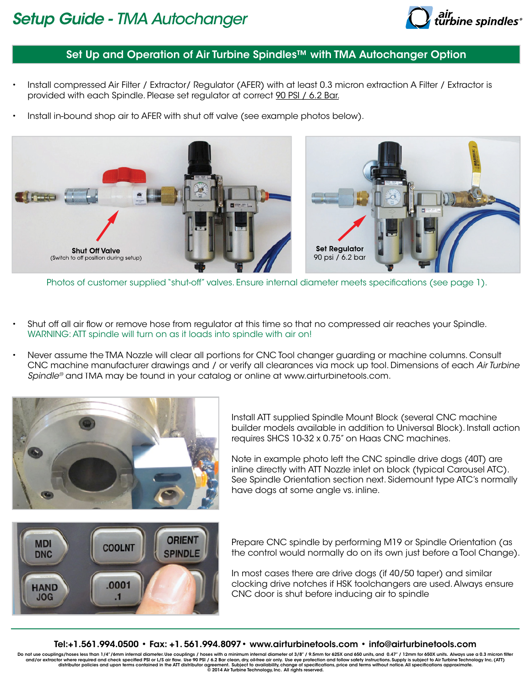# *Setup Guide - TMA Autochanger*



## Set Up and Operation of Air Turbine Spindles™ with TMA Autochanger Option

- Install compressed Air Filter / Extractor/ Regulator (AFER) with at least 0.3 micron extraction A Filter / Extractor is provided with each Spindle. Please set regulator at correct 90 PSI / 6.2 Bar.
- Install in-bound shop air to AFER with shut off valve (see example photos below).



Photos of customer supplied "shut-off" valves. Ensure internal diameter meets specifications (see page 1).

- Shut off all air flow or remove hose from regulator at this time so that no compressed air reaches your Spindle. WARNING: ATT spindle will turn on as it loads into spindle with air on!
- Never assume the TMA Nozzle will clear all portions for CNC Tool changer guarding or machine columns. Consult CNC machine manufacturer drawings and / or verify all clearances via mock up tool. Dimensions of each *Air Turbine Spindle®* and TMA may be found in your catalog or online at www.airturbinetools.com.



Install ATT supplied Spindle Mount Block (several CNC machine builder models available in addition to Universal Block). Install action requires SHCS 10-32 x 0.75" on Haas CNC machines.

Note in example photo left the CNC spindle drive dogs (40T) are inline directly with ATT Nozzle inlet on block (typical Carousel ATC). See Spindle Orientation section next. Sidemount type ATC's normally have dogs at some angle vs. inline.



Prepare CNC spindle by performing M19 or Spindle Orientation (as the control would normally do on its own just before a Tool Change).

In most cases there are drive dogs (if 40/50 taper) and similar clocking drive notches if HSK toolchangers are used. Always ensure CNC door is shut before inducing air to spindle

#### Tel:+1.561.994.0500 • Fax: +1. 561.994.8097• www.airturbinetools.com • info@airturbinetools.com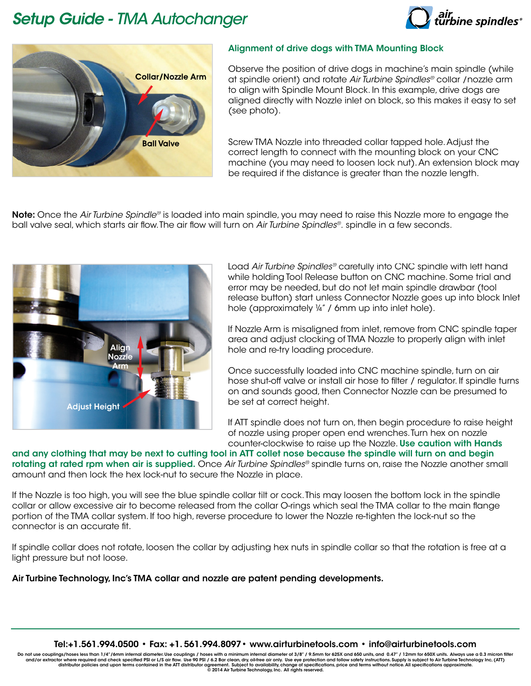# *Setup Guide - TMA Autochanger*





#### Alignment of drive dogs with TMA Mounting Block

Observe the position of drive dogs in machine's main spindle (while at spindle orient) and rotate *Air Turbine Spindles®* collar /nozzle arm to align with Spindle Mount Block. In this example, drive dogs are aligned directly with Nozzle inlet on block, so this makes it easy to set (see photo).

Screw TMA Nozzle into threaded collar tapped hole. Adjust the correct length to connect with the mounting block on your CNC machine (you may need to loosen lock nut). An extension block may be required if the distance is greater than the nozzle length.

Note: Once the *Air Turbine Spindle®* is loaded into main spindle, you may need to raise this Nozzle more to engage the ball valve seal, which starts air flow. The air flow will turn on *Air Turbine Spindles®*. spindle in a few seconds.



Load *Air Turbine Spindles®* carefully into CNC spindle with left hand while holding Tool Release button on CNC machine. Some trial and error may be needed, but do not let main spindle drawbar (tool release button) start unless Connector Nozzle goes up into block Inlet hole (approximately ¼" / 6mm up into inlet hole).

If Nozzle Arm is misaligned from inlet, remove from CNC spindle taper area and adjust clocking of TMA Nozzle to properly align with inlet hole and re-try loading procedure.

Once successfully loaded into CNC machine spindle, turn on air hose shut-off valve or install air hose to filter / regulator. If spindle turns on and sounds good, then Connector Nozzle can be presumed to be set at correct height.

If ATT spindle does not turn on, then begin procedure to raise height of nozzle using proper open end wrenches. Turn hex on nozzle counter-clockwise to raise up the Nozzle. Use caution with Hands

and any clothing that may be next to cutting tool in ATT collet nose because the spindle will turn on and begin rotating at rated rpm when air is supplied. Once *Air Turbine Spindles®* spindle turns on, raise the Nozzle another small amount and then lock the hex lock-nut to secure the Nozzle in place.

If the Nozzle is too high, you will see the blue spindle collar tilt or cock. This may loosen the bottom lock in the spindle collar or allow excessive air to become released from the collar O-rings which seal the TMA collar to the main flange portion of the TMA collar system. If too high, reverse procedure to lower the Nozzle re-tighten the lock-nut so the connector is an accurate fit.

If spindle collar does not rotate, loosen the collar by adjusting hex nuts in spindle collar so that the rotation is free at a light pressure but not loose.

Air Turbine Technology, Inc's TMA collar and nozzle are patent pending developments.

Tel:+1.561.994.0500 • Fax: +1. 561.994.8097• www.airturbinetools.com • info@airturbinetools.com